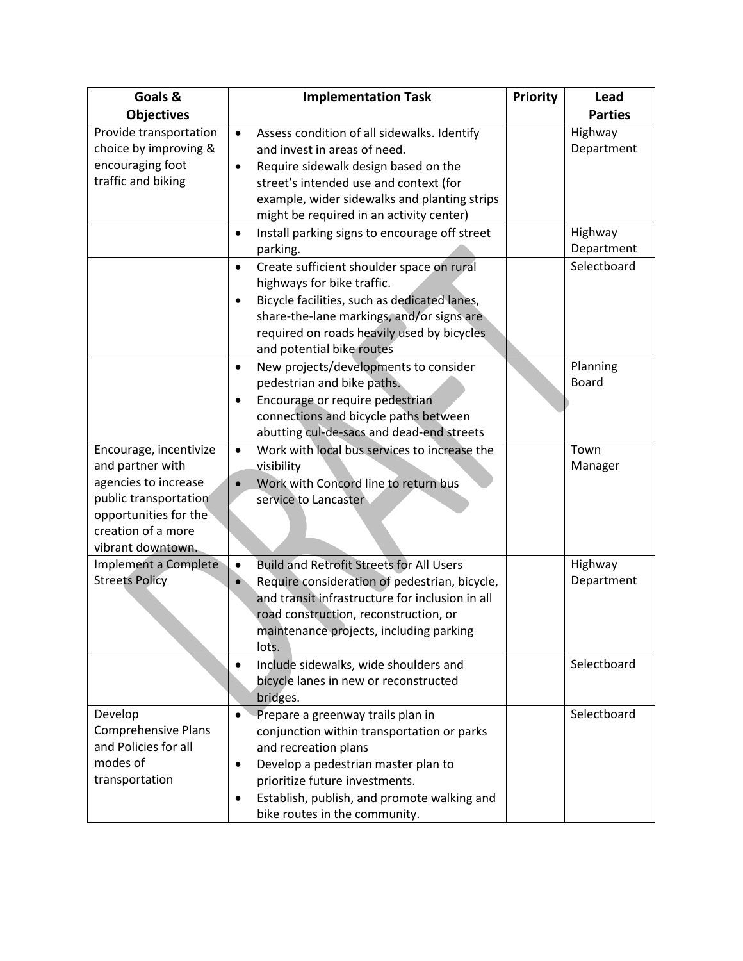| Goals &                    | <b>Implementation Task</b>                                   | Priority | Lead           |
|----------------------------|--------------------------------------------------------------|----------|----------------|
| <b>Objectives</b>          |                                                              |          | <b>Parties</b> |
| Provide transportation     | Assess condition of all sidewalks. Identify<br>$\bullet$     |          | Highway        |
| choice by improving &      | and invest in areas of need.                                 |          | Department     |
| encouraging foot           | Require sidewalk design based on the<br>$\bullet$            |          |                |
| traffic and biking         | street's intended use and context (for                       |          |                |
|                            | example, wider sidewalks and planting strips                 |          |                |
|                            | might be required in an activity center)                     |          |                |
|                            | Install parking signs to encourage off street<br>$\bullet$   |          | Highway        |
|                            | parking.                                                     |          | Department     |
|                            | Create sufficient shoulder space on rural<br>$\bullet$       |          | Selectboard    |
|                            | highways for bike traffic.                                   |          |                |
|                            | Bicycle facilities, such as dedicated lanes,<br>$\bullet$    |          |                |
|                            | share-the-lane markings, and/or signs are                    |          |                |
|                            | required on roads heavily used by bicycles                   |          |                |
|                            | and potential bike routes                                    |          |                |
|                            | New projects/developments to consider<br>$\bullet$           |          | Planning       |
|                            | pedestrian and bike paths.                                   |          | <b>Board</b>   |
|                            | Encourage or require pedestrian<br>٠                         |          |                |
|                            | connections and bicycle paths between                        |          |                |
|                            | abutting cul-de-sacs and dead-end streets                    |          |                |
| Encourage, incentivize     | Work with local bus services to increase the<br>$\bullet$    |          | Town           |
| and partner with           | visibility                                                   |          | Manager        |
| agencies to increase       | Work with Concord line to return bus<br>$\bullet$            |          |                |
| public transportation      | service to Lancaster                                         |          |                |
| opportunities for the      |                                                              |          |                |
| creation of a more         |                                                              |          |                |
| vibrant downtown.          |                                                              |          |                |
| Implement a Complete       | <b>Build and Retrofit Streets for All Users</b><br>$\bullet$ |          | Highway        |
| <b>Streets Policy</b>      | Require consideration of pedestrian, bicycle,                |          | Department     |
|                            | and transit infrastructure for inclusion in all              |          |                |
|                            | road construction, reconstruction, or                        |          |                |
|                            | maintenance projects, including parking                      |          |                |
|                            | lots.                                                        |          |                |
|                            | Include sidewalks, wide shoulders and<br>$\bullet$           |          | Selectboard    |
|                            | bicycle lanes in new or reconstructed                        |          |                |
|                            | bridges.                                                     |          |                |
| Develop                    | Prepare a greenway trails plan in                            |          | Selectboard    |
| <b>Comprehensive Plans</b> | conjunction within transportation or parks                   |          |                |
| and Policies for all       | and recreation plans                                         |          |                |
| modes of                   | Develop a pedestrian master plan to<br>$\bullet$             |          |                |
| transportation             | prioritize future investments.                               |          |                |
|                            | Establish, publish, and promote walking and<br>$\bullet$     |          |                |
|                            | bike routes in the community.                                |          |                |